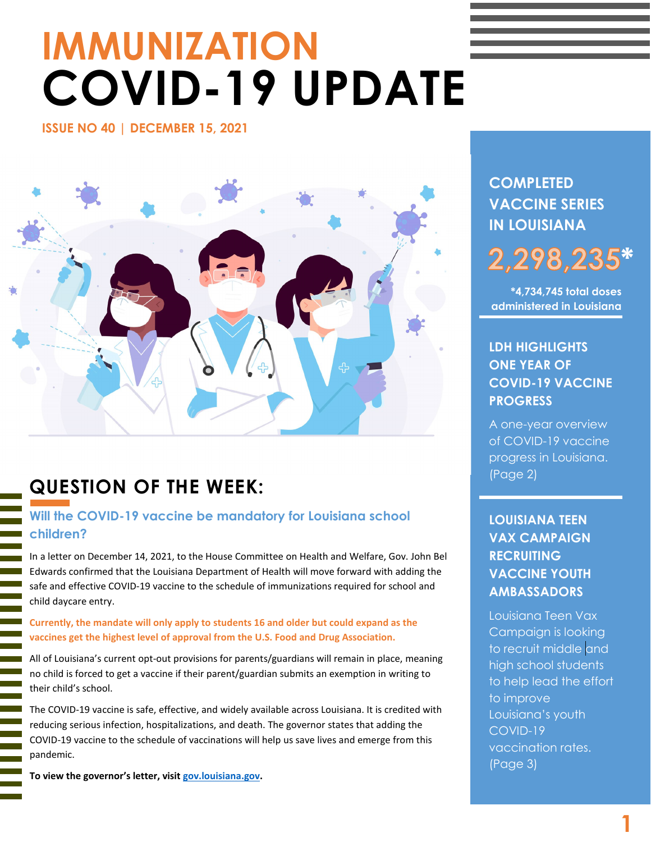# **IMMUNIZATION COVID-19 UPDATE**

**ISSUE NO 40 | DECEMBER 15, 2021** 



# **QUESTION OF THE WEEK:**

### **Will the COVID-19 vaccine be mandatory for Louisiana school children?**

In a letter on December 14, 2021, to the House Committee on Health and Welfare, Gov. John Bel Edwards confirmed that the Louisiana Department of Health will move forward with adding the safe and effective COVID-19 vaccine to the schedule of immunizations required for school and child daycare entry.

**Currently, the mandate will only apply to students 16 and older but could expand as the vaccines get the highest level of approval from the U.S. Food and Drug Association.**

All of Louisiana's current opt-out provisions for parents/guardians will remain in place, meaning no child is forced to get a vaccine if their parent/guardian submits an exemption in writing to their child's school.

The COVID-19 vaccine is safe, effective, and widely available across Louisiana. It is credited with reducing serious infection, hospitalizations, and death. The governor states that adding the COVID-19 vaccine to the schedule of vaccinations will help us save lives and emerge from this pandemic.

**To view the governor's letter, visit [gov.louisiana.gov.](https://gov.louisiana.gov/assets/docs/househealthletter.pdf)**

l

# **COMPLETED VACCINE SERIES IN LOUISIANA**

## **\*** 2,298,23

**\*4,734,745 total doses administered in Louisiana**

## **LDH HIGHLIGHTS ONE YEAR OF COVID-19 VACCINE PROGRESS**

A one-year overview of COVID-19 vaccine progress in Louisiana. (Page 2)

# **LOUISIANA TEEN VAX CAMPAIGN RECRUITING VACCINE YOUTH AMBASSADORS**

Louisiana Teen Vax Campaign is looking to recruit middle and high school students to help lead the effort to improve Louisiana's youth COVID-19 vaccination rates. (Page 3)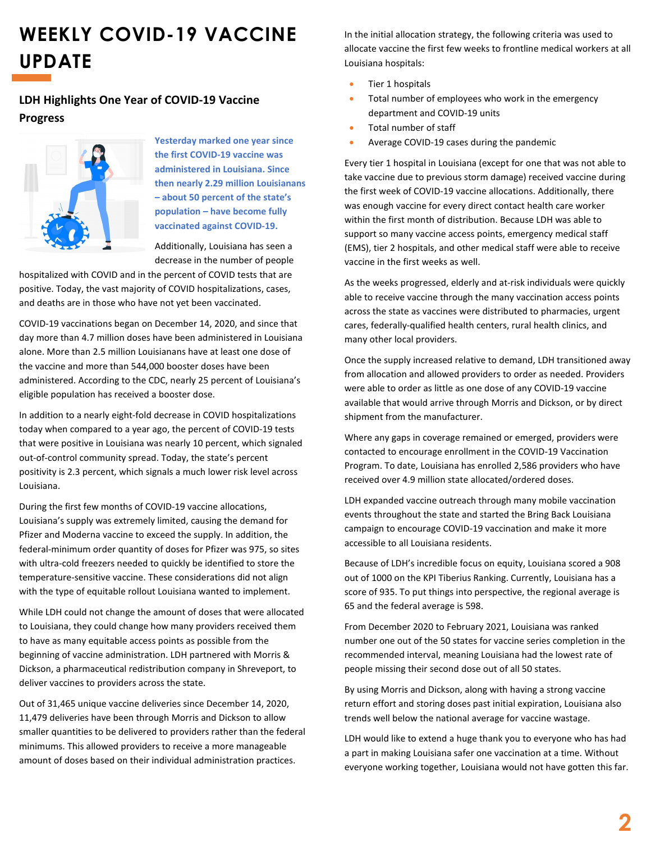# **WEEKLY COVID-19 VACCINE UPDATE**

#### **LDH Highlights One Year of COVID-19 Vaccine Progress**



**Yesterday marked one year since the first COVID-19 vaccine was administered in Louisiana. Since then nearly 2.29 million Louisianans – about 50 percent of the state's population – have become fully vaccinated against COVID-19.** 

Additionally, Louisiana has seen a decrease in the number of people

hospitalized with COVID and in the percent of COVID tests that are positive. Today, the vast majority of COVID hospitalizations, cases, and deaths are in those who have not yet been vaccinated.

COVID-19 vaccinations began on December 14, 2020, and since that day more than 4.7 million doses have been administered in Louisiana alone. More than 2.5 million Louisianans have at least one dose of the vaccine and more than 544,000 booster doses have been administered. According to the CDC, nearly 25 percent of Louisiana's eligible population has received a booster dose.

In addition to a nearly eight-fold decrease in COVID hospitalizations today when compared to a year ago, the percent of COVID-19 tests that were positive in Louisiana was nearly 10 percent, which signaled out-of-control community spread. Today, the state's percent positivity is 2.3 percent, which signals a much lower risk level across Louisiana.

During the first few months of COVID-19 vaccine allocations, Louisiana's supply was extremely limited, causing the demand for Pfizer and Moderna vaccine to exceed the supply. In addition, the federal-minimum order quantity of doses for Pfizer was 975, so sites with ultra-cold freezers needed to quickly be identified to store the temperature-sensitive vaccine. These considerations did not align with the type of equitable rollout Louisiana wanted to implement.

While LDH could not change the amount of doses that were allocated to Louisiana, they could change how many providers received them to have as many equitable access points as possible from the beginning of vaccine administration. LDH partnered with Morris & Dickson, a pharmaceutical redistribution company in Shreveport, to deliver vaccines to providers across the state.

Out of 31,465 unique vaccine deliveries since December 14, 2020, 11,479 deliveries have been through Morris and Dickson to allow smaller quantities to be delivered to providers rather than the federal minimums. This allowed providers to receive a more manageable amount of doses based on their individual administration practices.

In the initial allocation strategy, the following criteria was used to allocate vaccine the first few weeks to frontline medical workers at all Louisiana hospitals:

- Tier 1 hospitals
- Total number of employees who work in the emergency department and COVID-19 units
- Total number of staff
- Average COVID-19 cases during the pandemic

Every tier 1 hospital in Louisiana (except for one that was not able to take vaccine due to previous storm damage) received vaccine during the first week of COVID-19 vaccine allocations. Additionally, there was enough vaccine for every direct contact health care worker within the first month of distribution. Because LDH was able to support so many vaccine access points, emergency medical staff (EMS), tier 2 hospitals, and other medical staff were able to receive vaccine in the first weeks as well.

As the weeks progressed, elderly and at-risk individuals were quickly able to receive vaccine through the many vaccination access points across the state as vaccines were distributed to pharmacies, urgent cares, federally-qualified health centers, rural health clinics, and many other local providers.

Once the supply increased relative to demand, LDH transitioned away from allocation and allowed providers to order as needed. Providers were able to order as little as one dose of any COVID-19 vaccine available that would arrive through Morris and Dickson, or by direct shipment from the manufacturer.

Where any gaps in coverage remained or emerged, providers were contacted to encourage enrollment in the COVID-19 Vaccination Program. To date, Louisiana has enrolled 2,586 providers who have received over 4.9 million state allocated/ordered doses.

LDH expanded vaccine outreach through many mobile vaccination events throughout the state and started the Bring Back Louisiana campaign to encourage COVID-19 vaccination and make it more accessible to all Louisiana residents.

Because of LDH's incredible focus on equity, Louisiana scored a 908 out of 1000 on the KPI Tiberius Ranking. Currently, Louisiana has a score of 935. To put things into perspective, the regional average is 65 and the federal average is 598.

From December 2020 to February 2021, Louisiana was ranked number one out of the 50 states for vaccine series completion in the recommended interval, meaning Louisiana had the lowest rate of people missing their second dose out of all 50 states.

By using Morris and Dickson, along with having a strong vaccine return effort and storing doses past initial expiration, Louisiana also trends well below the national average for vaccine wastage.

LDH would like to extend a huge thank you to everyone who has had a part in making Louisiana safer one vaccination at a time. Without everyone working together, Louisiana would not have gotten this far.